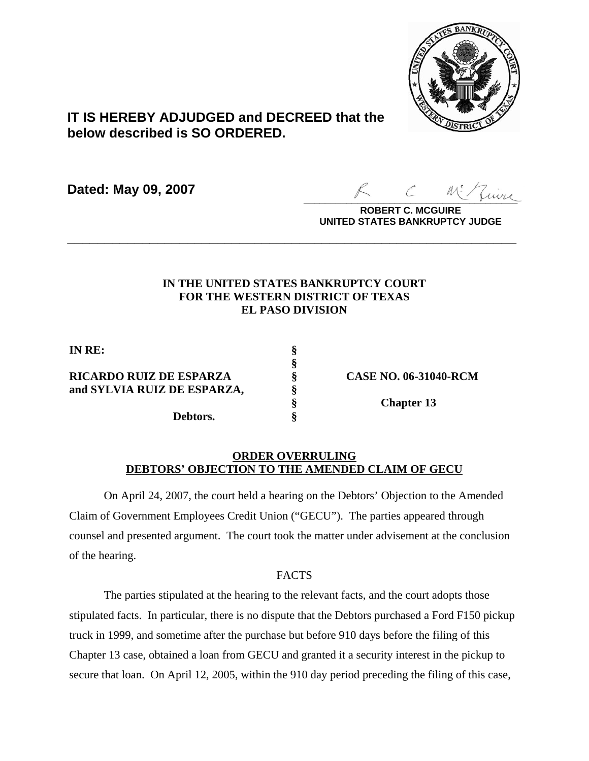

# **IT IS HEREBY ADJUDGED and DECREED that the below described is SO ORDERED.**

**Dated: May 09, 2007**

 $\sim$  more

**ROBERT C. MCGUIRE UNITED STATES BANKRUPTCY JUDGE**

# **IN THE UNITED STATES BANKRUPTCY COURT FOR THE WESTERN DISTRICT OF TEXAS EL PASO DIVISION**

**\_\_\_\_\_\_\_\_\_\_\_\_\_\_\_\_\_\_\_\_\_\_\_\_\_\_\_\_\_\_\_\_\_\_\_\_\_\_\_\_\_\_\_\_\_\_\_\_\_\_\_\_\_\_\_\_\_\_\_\_**

**§**

**IN RE: §**

**RICARDO RUIZ DE ESPARZA § CASE NO. 06-31040-RCM and SYLVIA RUIZ DE ESPARZA, §**

**Debtors. §**

**§ Chapter 13**

## **ORDER OVERRULING DEBTORS' OBJECTION TO THE AMENDED CLAIM OF GECU**

On April 24, 2007, the court held a hearing on the Debtors' Objection to the Amended Claim of Government Employees Credit Union ("GECU"). The parties appeared through counsel and presented argument. The court took the matter under advisement at the conclusion of the hearing.

## FACTS

The parties stipulated at the hearing to the relevant facts, and the court adopts those stipulated facts. In particular, there is no dispute that the Debtors purchased a Ford F150 pickup truck in 1999, and sometime after the purchase but before 910 days before the filing of this Chapter 13 case, obtained a loan from GECU and granted it a security interest in the pickup to secure that loan. On April 12, 2005, within the 910 day period preceding the filing of this case,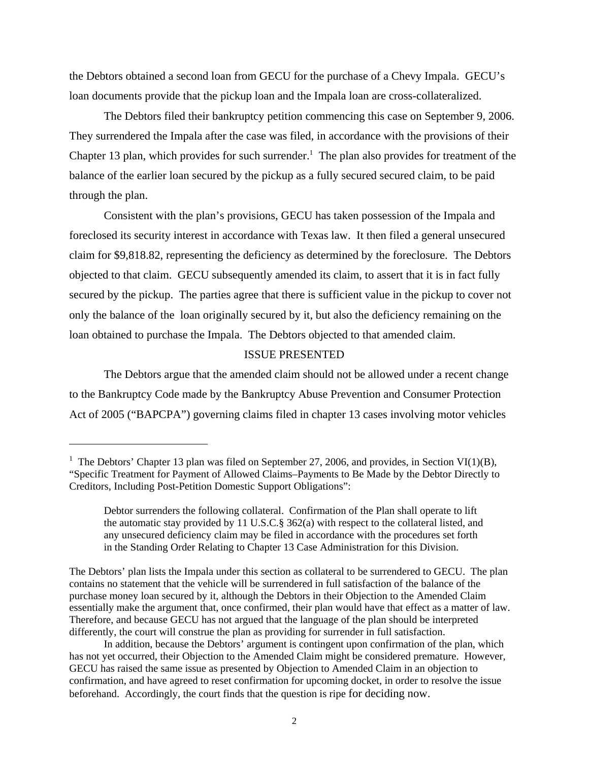the Debtors obtained a second loan from GECU for the purchase of a Chevy Impala. GECU's loan documents provide that the pickup loan and the Impala loan are cross-collateralized.

The Debtors filed their bankruptcy petition commencing this case on September 9, 2006. They surrendered the Impala after the case was filed, in accordance with the provisions of their Chapter 13 plan, which provides for such surrender.<sup>1</sup> The plan also provides for treatment of the balance of the earlier loan secured by the pickup as a fully secured secured claim, to be paid through the plan.

Consistent with the plan's provisions, GECU has taken possession of the Impala and foreclosed its security interest in accordance with Texas law. It then filed a general unsecured claim for \$9,818.82, representing the deficiency as determined by the foreclosure. The Debtors objected to that claim. GECU subsequently amended its claim, to assert that it is in fact fully secured by the pickup. The parties agree that there is sufficient value in the pickup to cover not only the balance of the loan originally secured by it, but also the deficiency remaining on the loan obtained to purchase the Impala. The Debtors objected to that amended claim.

#### ISSUE PRESENTED

The Debtors argue that the amended claim should not be allowed under a recent change to the Bankruptcy Code made by the Bankruptcy Abuse Prevention and Consumer Protection Act of 2005 ("BAPCPA") governing claims filed in chapter 13 cases involving motor vehicles

<sup>&</sup>lt;sup>1</sup> The Debtors' Chapter 13 plan was filed on September 27, 2006, and provides, in Section VI(1)(B), "Specific Treatment for Payment of Allowed Claims–Payments to Be Made by the Debtor Directly to Creditors, Including Post-Petition Domestic Support Obligations":

Debtor surrenders the following collateral. Confirmation of the Plan shall operate to lift the automatic stay provided by 11 U.S.C.§ 362(a) with respect to the collateral listed, and any unsecured deficiency claim may be filed in accordance with the procedures set forth in the Standing Order Relating to Chapter 13 Case Administration for this Division.

The Debtors' plan lists the Impala under this section as collateral to be surrendered to GECU. The plan contains no statement that the vehicle will be surrendered in full satisfaction of the balance of the purchase money loan secured by it, although the Debtors in their Objection to the Amended Claim essentially make the argument that, once confirmed, their plan would have that effect as a matter of law. Therefore, and because GECU has not argued that the language of the plan should be interpreted differently, the court will construe the plan as providing for surrender in full satisfaction.

In addition, because the Debtors' argument is contingent upon confirmation of the plan, which has not yet occurred, their Objection to the Amended Claim might be considered premature. However, GECU has raised the same issue as presented by Objection to Amended Claim in an objection to confirmation, and have agreed to reset confirmation for upcoming docket, in order to resolve the issue beforehand. Accordingly, the court finds that the question is ripe for deciding now.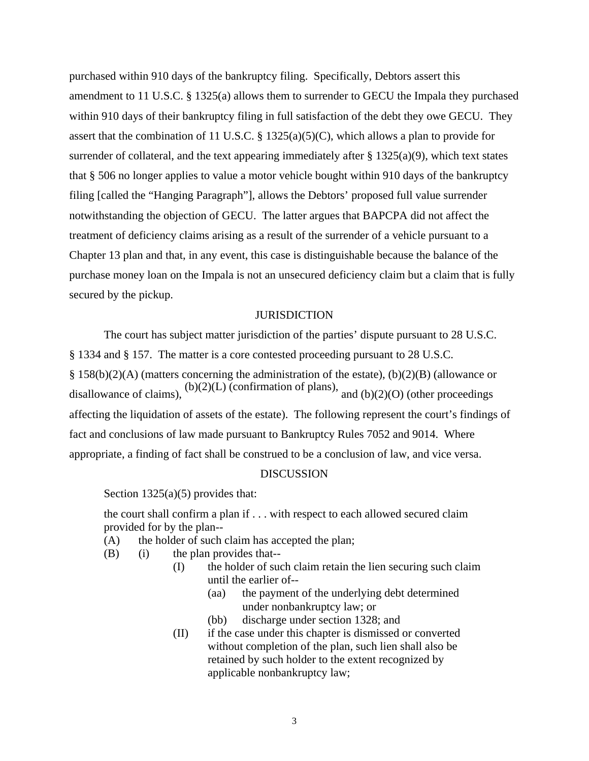purchased within 910 days of the bankruptcy filing. Specifically, Debtors assert this amendment to 11 U.S.C. § 1325(a) allows them to surrender to GECU the Impala they purchased within 910 days of their bankruptcy filing in full satisfaction of the debt they owe GECU. They assert that the combination of 11 U.S.C. § 1325(a)(5)(C), which allows a plan to provide for surrender of collateral, and the text appearing immediately after  $\S$  1325(a)(9), which text states that § 506 no longer applies to value a motor vehicle bought within 910 days of the bankruptcy filing [called the "Hanging Paragraph"], allows the Debtors' proposed full value surrender notwithstanding the objection of GECU. The latter argues that BAPCPA did not affect the treatment of deficiency claims arising as a result of the surrender of a vehicle pursuant to a Chapter 13 plan and that, in any event, this case is distinguishable because the balance of the purchase money loan on the Impala is not an unsecured deficiency claim but a claim that is fully secured by the pickup.

#### **JURISDICTION**

The court has subject matter jurisdiction of the parties' dispute pursuant to 28 U.S.C. § 1334 and § 157. The matter is a core contested proceeding pursuant to 28 U.S.C. § 158(b)(2)(A) (matters concerning the administration of the estate), (b)(2)(B) (allowance or disallowance of claims), (b)(2)(L) (confirmation of plans), and (b)(2)(O) (other proceedings affecting the liquidation of assets of the estate). The following represent the court's findings of fact and conclusions of law made pursuant to Bankruptcy Rules 7052 and 9014. Where appropriate, a finding of fact shall be construed to be a conclusion of law, and vice versa.

#### DISCUSSION

Section 1325(a)(5) provides that:

the court shall confirm a plan if . . . with respect to each allowed secured claim provided for by the plan--

- (A) the holder of such claim has accepted the plan;
- (B) (i) the plan provides that--
	- (I) the holder of such claim retain the lien securing such claim until the earlier of--
		- (aa) the payment of the underlying debt determined under nonbankruptcy law; or
		- (bb) discharge under section 1328; and
	- (II) if the case under this chapter is dismissed or converted without completion of the plan, such lien shall also be retained by such holder to the extent recognized by applicable nonbankruptcy law;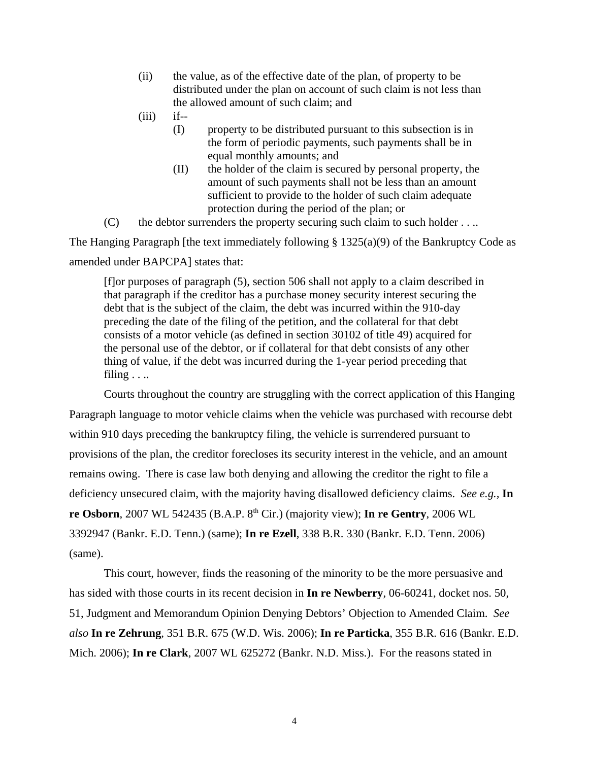- (ii) the value, as of the effective date of the plan, of property to be distributed under the plan on account of such claim is not less than the allowed amount of such claim; and
- $(iii)$  if--
	- (I) property to be distributed pursuant to this subsection is in the form of periodic payments, such payments shall be in equal monthly amounts; and
	- (II) the holder of the claim is secured by personal property, the amount of such payments shall not be less than an amount sufficient to provide to the holder of such claim adequate protection during the period of the plan; or
- $(C)$  the debtor surrenders the property securing such claim to such holder . . ..

The Hanging Paragraph [the text immediately following  $\S 1325(a)(9)$  of the Bankruptcy Code as amended under BAPCPA] states that:

[f]or purposes of paragraph (5), section 506 shall not apply to a claim described in that paragraph if the creditor has a purchase money security interest securing the debt that is the subject of the claim, the debt was incurred within the 910-day preceding the date of the filing of the petition, and the collateral for that debt consists of a motor vehicle (as defined in section 30102 of title 49) acquired for the personal use of the debtor, or if collateral for that debt consists of any other thing of value, if the debt was incurred during the 1-year period preceding that filing  $\ldots$ 

Courts throughout the country are struggling with the correct application of this Hanging Paragraph language to motor vehicle claims when the vehicle was purchased with recourse debt within 910 days preceding the bankruptcy filing, the vehicle is surrendered pursuant to provisions of the plan, the creditor forecloses its security interest in the vehicle, and an amount remains owing. There is case law both denying and allowing the creditor the right to file a deficiency unsecured claim, with the majority having disallowed deficiency claims. *See e.g.,* **In re Osborn**, 2007 WL 542435 (B.A.P. 8th Cir.) (majority view); **In re Gentry**, 2006 WL 3392947 (Bankr. E.D. Tenn.) (same); **In re Ezell**, 338 B.R. 330 (Bankr. E.D. Tenn. 2006) (same).

This court, however, finds the reasoning of the minority to be the more persuasive and has sided with those courts in its recent decision in **In re Newberry**, 06-60241, docket nos. 50, 51, Judgment and Memorandum Opinion Denying Debtors' Objection to Amended Claim. *See also* **In re Zehrung**, 351 B.R. 675 (W.D. Wis. 2006); **In re Particka**, 355 B.R. 616 (Bankr. E.D. Mich. 2006); **In re Clark**, 2007 WL 625272 (Bankr. N.D. Miss.). For the reasons stated in